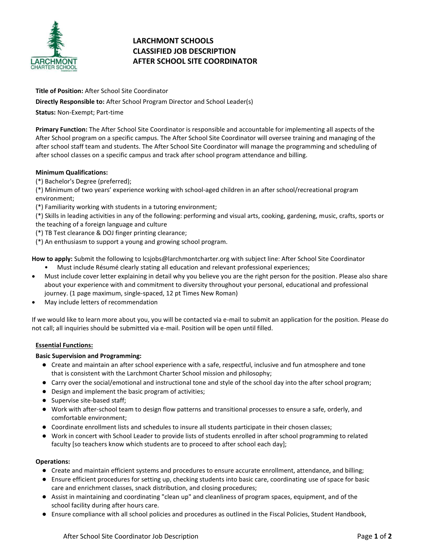

# **LARCHMONT SCHOOLS CLASSIFIED JOB DESCRIPTION AFTER SCHOOL SITE COORDINATOR**

**Title of Position:** After School Site Coordinator

**Directly Responsible to:** After School Program Director and School Leader(s)

**Status:** Non-Exempt; Part-time

**Primary Function:** The After School Site Coordinator is responsible and accountable for implementing all aspects of the After School program on a specific campus. The After School Site Coordinator will oversee training and managing of the after school staff team and students. The After School Site Coordinator will manage the programming and scheduling of after school classes on a specific campus and track after school program attendance and billing.

## **Minimum Qualifications:**

(\*) Bachelor's Degree (preferred);

(\*) Minimum of two years' experience working with school-aged children in an after school/recreational program environment;

(\*) Familiarity working with students in a tutoring environment;

(\*) Skills in leading activities in any of the following: performing and visual arts, cooking, gardening, music, crafts, sports or the teaching of a foreign language and culture

- (\*) TB Test clearance & DOJ finger printing clearance;
- (\*) An enthusiasm to support a young and growing school program.

**How to apply:** Submit the following to lcsjobs@larchmontcharter.org with subject line: After School Site Coordinator

- Must include Résumé clearly stating all education and relevant professional experiences;
- Must include cover letter explaining in detail why you believe you are the right person for the position. Please also share about your experience with and commitment to diversity throughout your personal, educational and professional journey. (1 page maximum, single-spaced, 12 pt Times New Roman)
- May include letters of recommendation

If we would like to learn more about you, you will be contacted via e-mail to submit an application for the position. Please do not call; all inquiries should be submitted via e-mail. Position will be open until filled.

## **Essential Functions:**

## **Basic Supervision and Programming:**

- Create and maintain an after school experience with a safe, respectful, inclusive and fun atmosphere and tone that is consistent with the Larchmont Charter School mission and philosophy;
- Carry over the social/emotional and instructional tone and style of the school day into the after school program;
- Design and implement the basic program of activities;
- Supervise site-based staff;
- Work with after-school team to design flow patterns and transitional processes to ensure a safe, orderly, and comfortable environment;
- Coordinate enrollment lists and schedules to insure all students participate in their chosen classes;
- Work in concert with School Leader to provide lists of students enrolled in after school programming to related faculty [so teachers know which students are to proceed to after school each day];

## **Operations:**

- Create and maintain efficient systems and procedures to ensure accurate enrollment, attendance, and billing;
- Ensure efficient procedures for setting up, checking students into basic care, coordinating use of space for basic care and enrichment classes, snack distribution, and closing procedures;
- Assist in maintaining and coordinating "clean up" and cleanliness of program spaces, equipment, and of the school facility during after hours care.
- Ensure compliance with all school policies and procedures as outlined in the Fiscal Policies, Student Handbook,